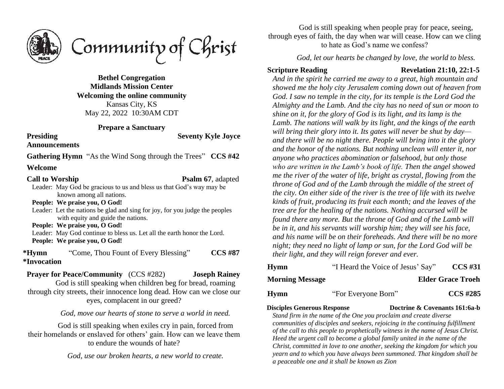

**Bethel Congregation Midlands Mission Center Welcoming the online community** Kansas City, KS May 22, 2022 10:30AM CDT

#### **Prepare a Sanctuary**

**Presiding Seventy Kyle Joyce** 

 **Announcements**

 **Gathering Hymn** "As the Wind Song through the Trees" **CCS #42**

### **Welcome**

**Call to Worship Psalm 67**, adapted

Leader: May God be gracious to us and bless us that God's way may be known among all nations.

**People: We praise you, O God!**

Leader: Let the nations be glad and sing for joy, for you judge the peoples with equity and guide the nations.

**People: We praise you, O God!**

Leader: May God continue to bless us. Let all the earth honor the Lord. **People: We praise you, O God!**

**\*Hymn** "Come, Thou Fount of Every Blessing" **CCS #87 \*Invocation** 

 **Prayer for Peace/Community** (CCS #282) **Joseph Rainey** God is still speaking when children beg for bread, roaming through city streets, their innocence long dead. How can we close our eyes, complacent in our greed?

*God, move our hearts of stone to serve a world in need.*

God is still speaking when exiles cry in pain, forced from their homelands or enslaved for others' gain. How can we leave them to endure the wounds of hate?

*God, use our broken hearts, a new world to create.*

God is still speaking when people pray for peace, seeing, through eyes of faith, the day when war will cease. How can we cling to hate as God's name we confess?

*God, let our hearts be changed by love, the world to bless.*

#### **Scripture Reading Revelation 21:10, 22:1-5**

*And in the spirit he carried me away to a great, high mountain and showed me the holy city Jerusalem coming down out of heaven from God. I saw no temple in the city, for its temple is the Lord God the Almighty and the Lamb. And the city has no need of sun or moon to shine on it, for the glory of God is its light, and its lamp is the Lamb. The nations will walk by its light, and the kings of the earth will bring their glory into it. Its gates will never be shut by day and there will be no night there. People will bring into it the glory and the honor of the nations. But nothing unclean will enter it, nor anyone who practices abomination or falsehood, but only those who are written in the Lamb's book of life. Then the angel showed me the river of the water of life, bright as crystal, flowing from the throne of God and of the Lamb through the middle of the street of the city. On either side of the river is the tree of life with its twelve kinds of fruit, producing its fruit each month; and the leaves of the tree are for the healing of the nations. Nothing accursed will be found there any more. But the throne of God and of the Lamb will be in it, and his servants will worship him; they will see his face, and his name will be on their foreheads. And there will be no more night; they need no light of lamp or sun, for the Lord God will be their light, and they will reign forever and ever.*

| <b>Hymn</b>            | "I Heard the Voice of Jesus' Say" | <b>CCS #31</b>           |
|------------------------|-----------------------------------|--------------------------|
| <b>Morning Message</b> |                                   | <b>Elder Grace Troeh</b> |

 **Hymn** "For Everyone Born" **CCS #285**

 **Disciples Generous Response Doctrine & Covenants 161:6a-b**

*Stand firm in the name of the One you proclaim and create diverse communities of disciples and seekers, rejoicing in the continuing fulfillment of the call to this people to prophetically witness in the name of Jesus Christ. Heed the urgent call to become a global family united in the name of the Christ, committed in love to one another, seeking the kingdom for which you yearn and to which you have always been summoned. That kingdom shall be a peaceable one and it shall be known as Zion*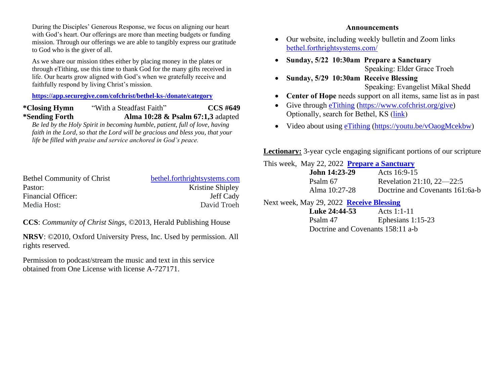During the Disciples' Generous Response, we focus on aligning our heart with God's heart. Our offerings are more than meeting budgets or funding mission. Through our offerings we are able to tangibly express our gratitude to God who is the giver of all.

As we share our mission tithes either by placing money in the plates or through eTithing, use this time to thank God for the many gifts received in life. Our hearts grow aligned with God's when we gratefully receive and faithfully respond by living Christ's mission.

**<https://app.securegive.com/cofchrist/bethel-ks-/donate/category>**

**\*Closing Hymn** "With a Steadfast Faith" **CCS #649 \*Sending Forth Alma 10:28 & Psalm 67:1,3** adapted

*Be led by the Holy Spirit in becoming humble, patient, full of love, having faith in the Lord, so that the Lord will be gracious and bless you, that your life be filled with praise and service anchored in God's peace.*

| <b>Bethel Community of Christ</b> | bethel.forthrightsystems.com |
|-----------------------------------|------------------------------|
| Pastor:                           | Kristine Shipley             |
| <b>Financial Officer:</b>         | Jeff Cady                    |
| Media Host:                       | David Troeh                  |

**CCS**: *Community of Christ Sings*, ©2013, Herald Publishing House

**NRSV**: ©2010, Oxford University Press, Inc. Used by permission. All rights reserved.

Permission to podcast/stream the music and text in this service obtained from One License with license A-727171.

#### **Announcements**

- Our website, including weekly bulletin and Zoom links [bethel.forthrightsystems.com/](http://bethel.forthrightsystems.com/)
- **Sunday, 5/22 10:30am Prepare a Sanctuary** Speaking: Elder Grace Troeh
- **Sunday, 5/29 10:30am Receive Blessing** Speaking: Evangelist Mikal Shedd
- **Center of Hope** needs support on all items, same list as in past
- Give through [eTithing](https://www.cofchrist.org/give) [\(https://www.cofchrist.org/give\)](https://www.cofchrist.org/give) Optionally, search for Bethel, KS [\(link\)](https://app.securegive.com/cofchrist/bethel-ks-/donate/category)
- Video about using [eTithing](https://youtu.be/vOaogMcekbw) [\(https://youtu.be/vOaogMcekbw\)](https://youtu.be/vOaogMcekbw)

**Lectionary:** 3-year cycle engaging significant portions of our scripture

| This week, May 22, 2022 Prepare a Sanctuary |                                 |
|---------------------------------------------|---------------------------------|
| <b>John 14:23-29</b>                        | Acts 16:9-15                    |
| Psalm 67                                    | Revelation 21:10, $22 - 22:5$   |
| Alma 10:27-28                               | Doctrine and Covenants 161:6a-b |
|                                             |                                 |

Next week, May 29, 2022 **[Receive Blessing](https://www.heraldhouse.org/products/may-2022-worship-planning)**

| Luke 24:44-53                     | Acts 1:1-11         |
|-----------------------------------|---------------------|
| Psalm 47                          | Ephesians $1:15-23$ |
| Doctrine and Covenants 158:11 a-b |                     |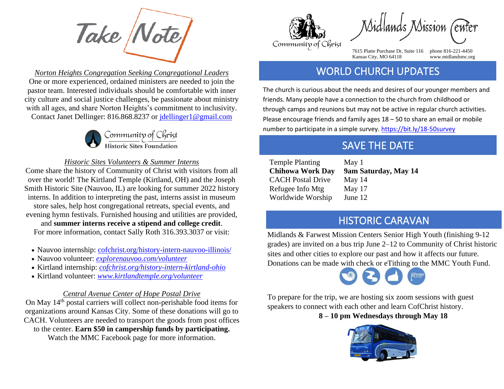Take Note

#### *Norton Heights Congregation Seeking Congregational Leaders*

One or more experienced, ordained ministers are needed to join the pastor team. Interested individuals should be comfortable with inner city culture and social justice challenges, be passionate about ministry with all ages, and share Norton Heights's commitment to inclusivity. Contact Janet Dellinger: 816.868.8237 or [jdellinger1@gmail.com](mailto:jdellinger1@gmail.com)

Community of Christ<br>Historic Sites Foundation

#### *Historic Sites Volunteers & Summer Interns*

Come share the history of Community of Christ with visitors from all over the world! The Kirtland Temple (Kirtland, OH) and the Joseph Smith Historic Site (Nauvoo, IL) are looking for summer 2022 history interns. In addition to interpreting the past, interns assist in museum store sales, help host congregational retreats, special events, and evening hymn festivals. Furnished housing and utilities are provided,

and **summer interns receive a stipend and college credit**. For more information, contact Sally Roth 316.393.3037 or visit:

- Nauvoo internship: [cofchrist.org/history-intern-nauvoo-illinois/](https://cofchrist.org/history-intern-nauvoo-illinois/)
- Nauvoo volunteer: *[explorenauvoo.com/volunteer](https://nam04.safelinks.protection.outlook.com/?url=https%3A%2F%2Fexplorenauvoo.com%2Fvolunteer&data=05%7C01%7Ckhnatyshyn%40cofchrist.org%7C3270eaacc6a6422d44a408da27c39a08%7C8afd0cc8f92c4ae0a7e2e6d4b8382b4e%7C0%7C0%7C637866018307638961%7CUnknown%7CTWFpbGZsb3d8eyJWIjoiMC4wLjAwMDAiLCJQIjoiV2luMzIiLCJBTiI6Ik1haWwiLCJXVCI6Mn0%3D%7C3000%7C%7C%7C&sdata=dwFtLQkXuwUK3ouGKPHXE2xH%2FY4ybWfr8bZUWofnD%2BQ%3D&reserved=0)*
- Kirtland internship: *[cofchrist.org/history-intern-kirtland-ohio](https://nam04.safelinks.protection.outlook.com/?url=https%3A%2F%2Fcofchrist.org%2Fhistory-intern-kirtland-ohio&data=05%7C01%7Ckhnatyshyn%40cofchrist.org%7C3270eaacc6a6422d44a408da27c39a08%7C8afd0cc8f92c4ae0a7e2e6d4b8382b4e%7C0%7C0%7C637866018307638961%7CUnknown%7CTWFpbGZsb3d8eyJWIjoiMC4wLjAwMDAiLCJQIjoiV2luMzIiLCJBTiI6Ik1haWwiLCJXVCI6Mn0%3D%7C3000%7C%7C%7C&sdata=oeaiyLrKP2Pa750rBzZXu6aiLvOfadSkrZJ5iaCSQe0%3D&reserved=0)*
- Kirtland volunteer: *[www.kirtlandtemple.org/volunteer](http://www.kirtlandtemple.org/volunteer)*

#### *Central Avenue Center of Hope Postal Drive*

On May 14th postal carriers will collect non-perishable food items for organizations around Kansas City. Some of these donations will go to CACH. Volunteers are needed to transport the goods from post offices to the center. **Earn \$50 in campership funds by participating.** Watch the MMC Facebook page for more information.



7615 Platte Purchase Dr, Suite 116 phone 816-221-4450 Kansas City, MO 64118 www.midlandsmc.org

### WORLD CHURCH UPDATES

The church is curious about the needs and desires of our younger members and friends. Many people have a connection to the church from childhood or through camps and reunions but may not be active in regular church activities. Please encourage friends and family ages 18 – 50 to share an email or mobile number to participate in a simple survey.<https://bit.ly/18-50survey>

## SAVE THE DATE

Temple Planting May 1 CACH Postal Drive May 14 Refugee Info Mtg May 17 Worldwide Worship June 12

**Chihowa Work Day 9am Saturday, May 14**

### HISTORIC CARAVAN

Midlands & Farwest Mission Centers Senior High Youth (finishing 9-12 grades) are invited on a bus trip June 2–12 to Community of Christ historic sites and other cities to explore our past and how it affects our future. Donations can be made with check or eTithing to the MMC Youth Fund.



To prepare for the trip, we are hosting six zoom sessions with guest speakers to connect with each other and learn CofChrist history.

**8 – 10 pm Wednesdays through May 18**